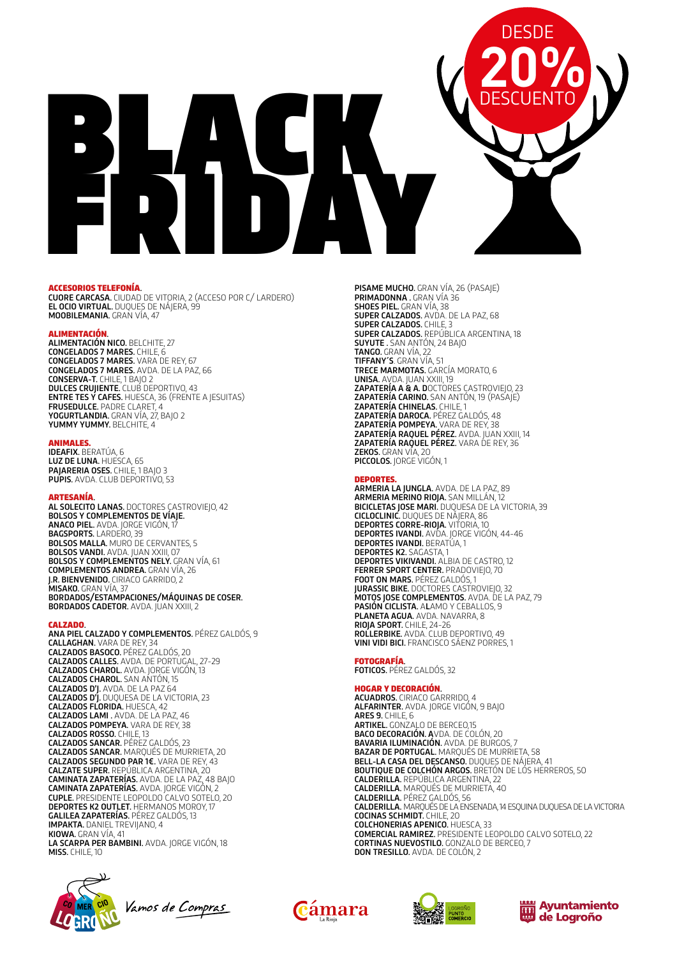# BLACK FRIDAY **20% DESCUENTO** DESDE

# ACCESORIOS TELEFONÍA.

CUORE CARCASA. CIUDAD DE VITORIA, 2 (ACCESO POR C/ LARDERO) EL OCIO VIRTUAL. DUQUES DE NÁJERA, 99 MOOBILEMANIA. GRAN VÍA, 47

**ALIMENTACIÓN.**<br>**ALIMENTACIÓN NICO.** BELCHITE, 27 CONGELADOS 7 MARES. CHILE, 6 CONGELADOS 7 MARES. VARA DE REY, 67 CONGELADOS 7 MARES. AVDA. DE LA PAZ, 66 CONSERVA-T. CHILE, 1 BAJO 2 DULCES CRUJIENTE. CLUB DEPORTIVO, 43 ENTRE TES Y CAFES. HUESCA, 36 (FRENTE A JESUITAS) FRUSEDULCE. PADRE CLARET, 4 YOGURTLANDIA. GRAN VÍA, 27, BAJO 2 YUMMY YUMMY. BELCHITE, 4

ANIMALES.<br>IDEAFIX. BERATÚA, 6 LUZ DE LUNA. HUESCA, 65 PAJARERIA OSES. CHILE, 1 BAJO 3 PUPIS. AVDA. CLUB DEPORTIVO, 53

**ARTESANÍA.**<br>**AL SOLECITO LANAS.** DOCTORES CASTROVIEJO, 42 BOLSOS Y COMPLEMENTOS DE VÍAJE. **ANACO PIEL.** AVDA. JORGE VIGÓN, 17 BAGSPORTS. LARDERO, 39 BOLSOS MALLA. MURO DE CERVANTES, 5 BOLSOS MALER I. MONO DE CENVANTI BOLSOS Y COMPLEMENTOS NELY. GRAN VÍA, 61 COMPLEMENTOS ANDREA. GRAN VÍA, 26 J.R. BIENVENIDO. CIRIACO GARRIDO, 2 MISAKO. GRAN VÍA, 37 BORDADOS/ESTAMPACIONES/MÁQUINAS DE COSER. BORDADOS CADETOR. AVDA. JUAN XXIII, 2

# CALZADO.

ANA PIEL CALZADO Y COMPLEMENTOS. PÉREZ GALDÓS, 9 CALLAGHAN. VARA DE REY, 34 **CALZADOS BASOCO.** PÉREZ GALDÓS, 20<br>**CALZADOS CALLES.** AVDA. DE PORTUGAL, 27-29 CALZADOS CHAROL. AVDA. JORGE VIGÓN, 13 **CALZADOS CHAROL.** SAN AŃTÓN, 15 CALZADOS D'J. AVDA. DE LA PAZ 64 CALZADOS D'J. DUQUESA DE LA VICTORIA, 23 CALZADOS FLORIDA. HUESCA, 42 CALZADOS LAMI . AVDA. DE LA PAZ, 46 CALZADOS POMPEYA. VARA DE REY, 38 CALZADOS ROSSO. CHILE, 13 CALZADOS SANCAR. PÉREZ GALDÓS, 23 CALZADOS SANCAR. MARQUÉS DE MURRIETA, 20 CALZADOS SEGUNDO PAR 1€. VARA DE REY, 43 CALZATE SUPER. REPÚBLICA ARGENTINA, 20 CAMINATA ZAPATERÍAS. AVDA. DE LA PAZ, 48 BAJO **CAMINATA ZAPATERÍAS.** AVDA. JORGE VIGÓN, 2 CUPLE. PRESIDENTE LEOPOLDO CALVO SOTELO, 20 DEPORTES K2 OUTLET. HERMANOS MOROY, 17 GALILEA ZAPATERÍAS. PÉREZ GALDÓS, 13 IMPAKTA. DANIEL TREVIJANO, 4 KIOWA. GRAN VÍA, 41 LA SCARPA PER BAMBINI. AVDA. JORGE VIGÓN, 18 MISS. CHILE, 10



Vamos de Compras

PISAME MUCHO. GRAN VÍA, 26 (PASAJE) PRIMADONNA . GRAN VÍA 36 SHOES PIEL. GRAN VÍA, 38 SUPER CALZADOS. AVDA. DE LA PAZ, 68 SUPER CALZADOS. CHILE, 3 SUPER CALZADOS. REPÚBLICA ARGENTINA, 18 SUYUTE . SAN ANTÓN, 24 BAJO TANGO. GRAN VÍA, 22 TIFFANY´S. GRAN VÍA, 51 TRECE MARMOTAS. GARCÍA MORATO, 6 UNISA. AVDA. JUAN XXIII, 19 ZAPATERÍA A & A. DOCTORES CASTROVIEJO, 23 ZAPATERÍA CARINO. SAN ANTÓN, 19 (PASAJE) ZAPATERÍA CHINELAS. CHILE, 1 ZAPATERÍA DAROCA. PÉREZ GALDÓS, 48 ZAPATERÍA POMPEYA. VARA DE REY, 38 **ZAPATERÍA RAQUEL PÉREZ.** AVDA. JUAN XXIII, 14<br>**ZAPATERÍA RAQUEL PÉREZ.** VARA DE REY, 36 ZEKOS. GRAN VÍA, 20 PICCOLOS. JORGE VIGÓN, 1

# DEPORTES.

ARMERIA LA JUNGLA. AVDA. DE LA PAZ, 89 ARMERIA MERINO RIOJA. SAN MILLÁN, 12 BICICLETAS JOSE MARI. DUQUESA DE LA VICTORIA, 39 CICLOCLINIC. DUQUES DE NÁJERA, 86 DEPORTES CORRE-RIOJA. VITORIA, 10 DEPORTES IVANDI. AVDA. JORGE VIGÓN, 44-46 DEPORTES IVANDI. BERATÚA, 1 DEPORTES K2. SAGASTA, 1 DEPORTES VIKIVANDI. ALBIA DE CASTRO, 12 FERRER SPORT CENTER. PRADOVIEJO, 70 FOOT ON MARS. PÉREZ GALDÓS, 1 JURASSIC BIKE. DOCTORES CASTROVIEJO, 32 MOTOS JOSE COMPLEMENTOS. AVDA. DE LA PAZ, 79 PASIÓN CICLISTA. ALAMO Y CEBALLOS, 9 PLANETA AGUA. AVDA. NAVARRA, 8 RIOJA SPORT. CHILE, 24-26 ROLLERBIKE. AVDA. CLUB DEPORTIVO, 49 VINI VIDI BICI. FRANCISCO SÁENZ PORRES, 1

FOTOGRAFÍA. FOTICOS. PÉREZ GALDÓS, 32

**HOGAR Y DECORACIÓN.**<br>**ACUADROS.** CIRIACO GARRRIDO, 4 ALFARINTER. AVDA. JORGE VIGÓN, 9 BAJO ARES 9. CHILE, 6 ARTIKEL. GONZALO DE BERCEO,15 BACO DECORACIÓN. AVDA. DE COLÓN, 20 BAVARIA ILUMINACIÓN. AVDA. DE BURGOS, 7 BAZAR DE PORTUGAL. MARQUÉS DE MURRIETA, 58 BELL-LA CASA DEL DESCANSO. DUQUES DE NÁJERA, 41 BOUTIQUE DE COLCHÓN ARGOS. BRETÓN DE LOS HERREROS, 50 CALDERILLA. REPÚBLICA ARGENTINA, 22 CALDERILLA. MARQUÉS DE MURRIETA, 40 CALDERILLA. PÉREZ GALDÓS, 56 CALDERILLA. MARQUÉS DE LA ENSENADA, 14 ESQUINA DUQUESA DE LA VICTORIA COCINAS SCHMIDT. CHILE, 20 COLCHONERIAS APENICO. HUESCA, 33 COMERCIAL RAMIREZ. PRESIDENTE LEOPOLDO CALVO SOTELO, 22 CORTINAS NUEVOSTILO. GONZALO DE BERCEO, 7 DON TRESILLO. AVDA. DE COLÓN, 2





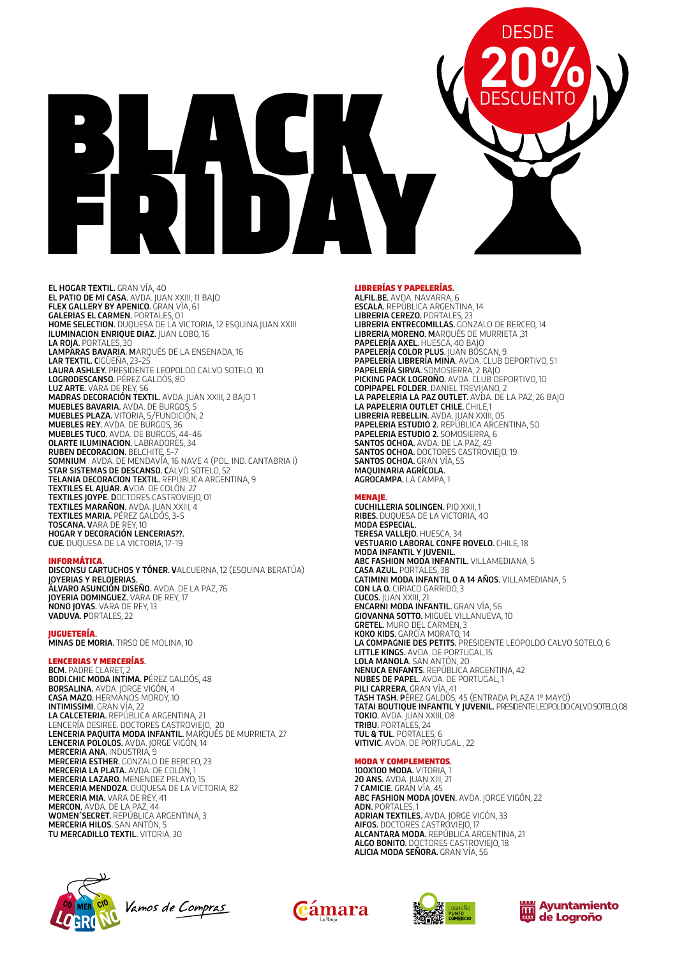

EL HOGAR TEXTIL. GRAN VÍA, 40 EL PATIO DE MI CASA. AVDA. JUAN XXIII, 11 BAJO FLEX GALLERY BY APENICO. GRAN VÍA, 61 GALERIAS EL CARMEN. PORTALES, 01 HOME SELECTION. DUQUESA DE LA VICTORIA, 12 ESQUINA JUAN XXIII ILUMINACION ENRIQUE DIAZ. JUAN LOBO, 16 LA ROJA. PORTALES, 30 LAMPARAS BAVARIA. MARQUÉS DE LA ENSENADA, 16 LAR TEXTIL. CIGÜEÑA, 23-25 LAURA ASHLEY. PRESIDENTE LEOPOLDO CALVO SOTELO, 10 LOGRODESCANSO. PÉREZ GALDÓS, 80 LUZ ARTE. VARA DE REY, 56 MADRAS DECORACIÓN TEXTIL. AVDA. JUAN XXIII, 2 BAJO 1 MUEBLES BAVARIA. AVDA. DE BURGOS, 5 MUEBLES PLAZA. VITORIA, 5/FUNDICIÓN, 2 MUEBLES REY. AVDA. DE BURGOS, 36 MUEBLES TUCO. AVDA. DE BURGOS, 44-46 OLARTE ILUMINACION. LABRADORES, 34 RUBEN DECORACION. BELCHITE, 5-7 SOMNIUM . AVDA. DE MENDAVÍA, 16 NAVE 4 (POL. IND. CANTABRIA I) STAR SISTEMAS DE DESCANSO. CALVO SOTELO, 52 **TELANIA DECORACION TEXTIL.** REPÚBLICA ARGENTINA, 9 TEXTILES EL AJUAR. AVDA. DE COLÓN, 27 TEXTILES JOYPE. DOCTORES CASTROVIEJO, 01 TEXTILES MARAÑON. AVDA. JUAN XXIII, 4 TEXTILES MARIA. PÉREZ GALDÓS, 3-5 TOSCANA. VARA DE REY, 10 HOGAR Y DECORACIÓN LENCERIAS??. CUE. DUQUESA DE LA VICTORIA, 17-19

# INFORMÁTICA.

DISCONSU CARTUCHOS Y TÓNER. VALCUERNA, 12 (ESQUINA BERATÚA) **JOYERIAS Y RELOJERIAS.**<br>**ÁLVARO ASUNCIÓN DISEÑO.** AVDA. DE LA PAZ, 76 JOYERIA DOMINGUEZ. VARA DE REY, 17 NONO JOYAS. VARA DE REY, 13 VADUVA. PORTALES, 22

**JUGUETERÍA.**<br>**MINAS DE MORIA.** TIRSO DE MOLINA, 10

# LENCERIAS Y MERCERÍAS. BCM. PADRE CLARET, 2

BODI.CHIC MODA INTIMA. PÉREZ GALDÓS, 48 BORSALINA. AVDA. JORGE VIGÓN, 4 CASA MAZO. HERMANOS MOROY, 10 INTIMISSIMI. GRAN VÍA, 22 **LA CALCETERIA.** REPÚBLICA ARGENTINA, 21<br>LENCERÍA DESIREE. DOCTORES CASTROVIEJO, 20 LENCERIA PAQUITA MODA INFANTIL. MARQUÉS DE MURRIETA, 27 LENCERIA POLOLOS. AVDA. JORGE VIGÓN, 14 MERCERIA ANA. INDUSTRIA, 9 MERCERIA ESTHER. GONZALO DE BERCEO, 23 MERCERIA LA PLATA. AVDA. DE COLÓN, 1 MERCERIA LAZARO. MENENDEZ PELAYO, 15 MERCERIA MENDOZA. DUQUESA DE LA VICTORIA, 82 MERCERIA MIA. VARA DE REY, 41 MERCON. AVDA. DE LA PAZ, 44 WOMEN´SECRET. REPÚBLICA ARGENTINA, 3 MERCERIA HILOS. SAN ANTÓN, 5 TU MERCADILLO TEXTIL. VITORIA, 30

LIBRERÍAS Y PAPELERÍAS.<br>ALFIL.BE. AVDA. NAVARRA, 6 ESCALA. REPÚBLICA ARGENTINA, 14 LIBRERIA CEREZO. PORTALES, 23 LIBRERIA ENTRECOMILLAS. GONZALO DE BERCEO, 14 LIBRERIA MORENO. MARQUÉS DE MURRIETA ,31 PAPELERÍA AXEL. HUESCA, 40 BAJO PAPELERÍA COLOR PLUS. JUAN BOSCAN, 9 PAPELERÍA LIBRERÍA MINA. AVDA. CLUB DEPORTIVO, 51 PAPELERÍA SIRVA. SOMOSIERRA, 2 BAJO PICKING PACK LOGROÑO. AVDA. CLUB DEPORTIVO, 10 COPIPAPEL FOLDER. DANIEL TREVIJANO, 2 LA PAPELERIA LA PAZ OUTLET. AVDA. DE LA PAZ, 26 BAJO LA PAPELERIA OUTLET CHILE. CHILE,1 LIBRERIA REBELLIN. AVDA. JUAN XXIII, 05 PAPELERIA ESTUDIO 2. REPÚBLICA ARGENTINA, 50 PAPELERIA ESTUDIO 2. SOMOSIERRA, 6 SANTOS OCHOA. AVDA. DE LA PAZ, 49 SANTOS OCHOA. DOCTORES CASTROVIEJO, 19 SANTOS OCHOA. GRAN VÍA, 55 MAQUINARIA AGRÍCOLA. AGROCAMPA. LA CAMPA, 1

MENAJE. CUCHILLERIA SOLINGEN. PIO XXII, 1 RIBES. DUQUESA DE LA VICTORIA, 40 MODA ESPECIAL. TERESA VALLEJO. HUESCA, 34 VESTUARIO LABORAL CONFE ROVELO. CHILE, 18 MODA INFANTIL Y JUVENIL. ABC FASHION MODA INFANTIL. VILLAMEDIANA, 5 CASA AZUL. PORTALES, 38 CATIMINI MODA INFANTIL 0 A 14 AÑOS. VILLAMEDIANA, 5 CON LA O. CIRIACO GARRIDO, 3 CUCOS. JUAN XXIII, 21 ENCARNI MODA INFANTIL. GRAN VÍA, 56 GIOVANNA SOTTO. MIGUEL VILLANUEVA, 10 GRETEL. MURO DEL CARMEN, 3 KOKO KIDS. GARCÍA MORATO, 14 LA COMPAGNIE DES PETITS. PRESIDENTE LEOPOLDO CALVO SOTELO, 6 LITTLE KINGS. AVDA. DE PORTUGAL,15 LOLA MANOLA. SAN ANTÓN, 20 NENUCA ENFANTS. REPÚBLICA ARGENTINA, 42 NUBES DE PAPEL. AVDA. DE PORTUGAL, 1 PILI CARRERA. GRAN VÍA, 41 TASH TASH. PÉREZ GALDÓS, 45 (ENTRADA PLAZA 1º MAYO) TATAI BOUTIQUE INFANTIL Y JUVENIL. PRESIDENTE LEOPOLDOCALVO SOTELO, 08 TOKIO. AVDA. JUAN XXIII, 08 TRIBU. PORTALES, 24 TUL & TUL. PORTALES, 6 VITIVIC. AVDA. DE PORTUGAL , 22

MODA Y COMPLEMENTOS. 100X100 MODA. VITORIA, 1 20 ANS. AVDA. JUAN XIII, 21 7 CAMICIE. GRAN VÍA, 45 ABC FASHION MODA JOVEN. AVDA. JORGE VIGÓN, 22 ADN. PORTALES, 1 ADRIAN TEXTILES. AVDA. JORGE VIGÓN, 33 AIFOS. DOCTORES CASTROVIEJO, 17 ALCANTARA MODA. REPÚBLICA ARGENTINA, 21 ALGO BONITO. DOCTORES CASTROVIEJO, 18 ALICIA MODA SEÑORA. GRAN VÍA, 56







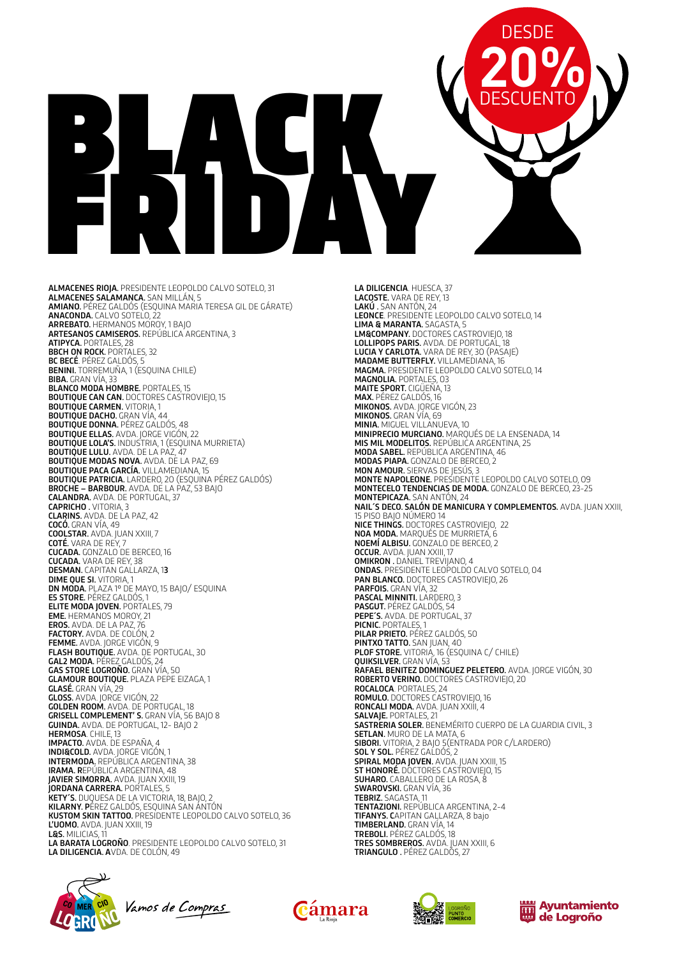# BLACK FRIDAY **20% DESCUENTO**

ALMACENES RIOJA. PRESIDENTE LEOPOLDO CALVO SOTELO, 31 ALMACENES SALAMANCA. SAN MILLÁN, 5 **AMIANO.** PÉREZ GALDÓS (ESQUINA MARIA TERESA GIL DE GÁRATE) ANACONDA. CALVO SOTELO, 22 ARREBATO. HERMANOS MOROY, 1 BAJO **ARTESANOS CAMISEROS.** REPÚBLICA ARGENTINA, 3 ATIPYCA. PORTALES, 28 **BBCH ON ROCK. PORTALES, 32** BC BECÉ. PÉREZ GALDÓS, 5 BENINI. TORREMUÑA, 1 (ESQUINA CHILE) BIBA. GRAN VÍA, 33 BLANCO MODA HOMBRE. PORTALES, 15 BOUTIQUE CAN CAN. DOCTORES CASTROVIEJO, 15 **BOUTIQUE CARMEN. VITORIA, 1** BOUTIQUE DACHO. GRAN VÍA, 44 BOUTIQUE DONNA. PÉREZ GALDÓS, 48 BOUTIQUE ELLAS. AVDA. JORGE VIGÓN, 22 BOUTIQUE LOLA'S. INDUSTRIA, 1 (ESQUINA MURRIETA) BOUTIQUE LULU. AVDA. DE LA PAZ, 47 BOUTIQUE MODAS NOVA. AVDA. DE LA PAZ, 69 BOUTIQUE PACA GARCÍA. VILLAMEDIANA, 15 BOUTIQUE PATRICIA. LARDERO, 20 (ESQUINA PÉREZ GALDÓS) BROCHE – BARBOUR. AVDA. DE LA PAZ, 53 BAJO CALANDRA. AVDA. DE PORTUGAL, 37 CAPRICHO . VITORIA, 3 CLARINS. AVDA. DE LA PAZ, 42 **COCÓ.** GRAN VÍA, 49 COOLSTAR. AVDA. JUAN XXIII, 7 **COTÉ.** VARA DE REY, 7 CUCADA. GONZALO DE BERCEO, 16 CUCADA. VARA DE REY, 38 DESMAN. CAPITAN GALLARZA, 13 DIME QUE SI. VITORIA, 1 DN MODA. PLAZA 1º DE MAYO, 15 BAJO/ ESQUINA E5 STORE. PÉREZ GALDÓS, 1 ELITE MODA JOVEN. PORTALES, 79 EME. HERMANOS MOROY, 21 EROS. AVDA. DE LA PAZ, 76 FACTORY. AVDA. DE COLÓN, 2 FEMME. AVDA. JORGE VIGÓN, 9 **FLASH BOUTIQUE.** AVDA. DE PORTUGAL, 30<br>**GAL2 MODA.** PÉREZ GALDÓS, 24 GAS STORE LOGROÑO. GRAN VÍA, 50 GLAMOUR BOUTIQUE. PLAZA PEPE EIZAGA, 1 **GLASÉ.** GRAN VÍA, 29 **GLOSS.** AVDA. JORGE VIGÓN, 22 **GOLDEN ROOM.** AVDA. DE PORTUGAL, 18 GRISELL COMPLEMENT' S. GRAN VÍA, 56 BAJO 8 GUINDA. AVDA. DE PORTUGAL, 12- BAJO 2 HERMOSA. CHILE, 13 IMPACTO. AVDA. DE ESPAÑA, 4 INDI&COLD. AVDA. JORGE VIGÓN, 1 INTERMODA. REPÚBLICA ARGENTINA, 38 IRAMA. REPÚBLICA ARGENTINA, 48 JAVIER SIMORRA. AVDA. JUAN XXIII, 19 **JORDANA CARRERA.** PORTALES, 5 KETY´S. DUQUESA DE LA VICTORIA, 18, BAJO, 2 KILARNY. PÉREZ GALDÓS, ESQUINA SAN ANTÓN KUSTOM SKIN TATTOO. PRESIDENTE LEOPOLDO CALVO SOTELO, 36 L'UOMO. AVDA. JUAN XXIII, 19 L&S. MILICIAS, 11 LA BARATA LOGROÑO. PRESIDENTE LEOPOLDO CALVO SOTELO, 31 LA DILIGENCIA. AVDA. DE COLÓN, 49





LA DILIGENCIA. HUESCA, 37 LACOSTE. VARA DE REY, 13 LAKÚ . SAN ANTÓN, 24 LEONCE. PRESIDENTE LEOPOLDO CALVO SOTELO, 14 LIMA & MARANTA. SAGASTA, 5 LM&COMPANY. DOCTORES CASTROVIEJO, 18 LOLLIPOPS PARIS. AVDA. DE PORTUGAL, 18 LUCIA Y CARLOTA. VARA DE REY, 30 (PASAJE) MADAME BUTTERFLY. VILLAMEDIANA, 16 MAGMA. PRESIDENTE LEOPOLDO CALVO SOTELO, 14 MAGNOLIA. PORTALES, 03 MAITE SPORT. CIGÜEÑA, 13 MAX. PÉREZ GALDÓS, 16 MIKONOS. AVDA. JORGE VIGÓN, 23 MIKONOS. GRAN VÍA, 69 MINIA. MIGUEL VILLANUEVA, 10 MINIPRECIO MURCIANO. MARQUÉS DE LA ENSENADA, 14 MIS MIL MODELITOS. REPÚBLICA ARGENTINA, 25 MODA SABEL. REPÚBLICA ARGENTINA, 46 MODAS PIAPA. GONZALO DE BERCEO, 2 MON AMOUR. SIERVAS DE JESÚS, 3 MONTE NAPOLEONE. PRESIDENTE LEOPOLDO CALVO SOTELO, 09 MONTECELO TENDENCIAS DE MODA. GONZALO DE BERCEO, 23-25 MONTEPICAZA. SAN ANTÓN, 24 NAIL´S DECO. SALÓN DE MANICURA Y COMPLEMENTOS. AVDA. JUAN XXIII, 15 PISO BAJO NÚMERO 14 NICE THINGS. DOCTORES CASTROVIEJO, 22 NOA MODA. MARQUÉS DE MURRIETA, 6 NOEMÍ ALBISU. GONZALO DE BERCEO, 2 OCCUR. AVDA. JUAN XXIII, 17 OMIKRON . DANIEL TREVIJANO, 4 ONDAS. PRESIDENTE LEOPOLDO CALVO SOTELO, 04 PAN BLANCO. DOCTORES CASTROVIEJO, 26 PARFOIS. GRAN VÍA, 32 PASCAL MINNITI. LARDERO, 3 PASGUT. PÉREZ GALDÓS, 54 PEPE'S. AVDA. DE PORTUGAL, 37 PICNIC. PORTALES, 1 PILAR PRIETO. PÉREZ GALDÓS, 50 PINTXO TATTO. SAN JUAN, 40 **PLOF STORE.** VITORIÁ, 16 (ESQUINA C/ CHILE)<br>**QUIKSILVER.** GRAN VÍA, 53 RAFAEL BENITEZ DOMINGUEZ PELETERO. AVDA. JORGE VIGÓN, 30 ROBERTO VERINO. DOCTORES CASTROVIEJO, 20 ROCALOCA. PORTALES, 24 ROMULO. DOCTORES CASTROVIEJO, 16 RONCALI MODA. AVDA. JUAN XXIII, 4 SALVAJE. PORTALES, 21 SASTRERIA SOLER. BENEMÉRITO CUERPO DE LA GUARDIA CIVIL, 3 SETLAN. MURO DE LA MATA, 6 SIBORI. VITORIA, 2 BAJO 5(ENTRADA POR C/LARDERO) SOL Y SOL. PÉREZ GALDÓS, 2 SPIRAL MODA JOVEN. AVDA. JUAN XXIII, 15 ST HONORÉ. DOCTORES CASTROVIEJO, 15 SUHARO. CABALLERO DE LA ROSA, 8 SWAROVSKI. GRAN VÍA, 36 TEBRIZ. SAGASTA, 11 TENTAZIONI. REPÚBLICA ARGENTINA, 2-4 TIFANYS. CAPITAN GALLARZA, 8 bajo TIMBERLAND. GRAN VÍA, 14 TREBOLI. PÉREZ GALDÓS, 18 TRES SOMBREROS. AVDA. JUAN XXIII, 6 TRIANGULO . PÉREZ GALDÓS, 27

DESDE